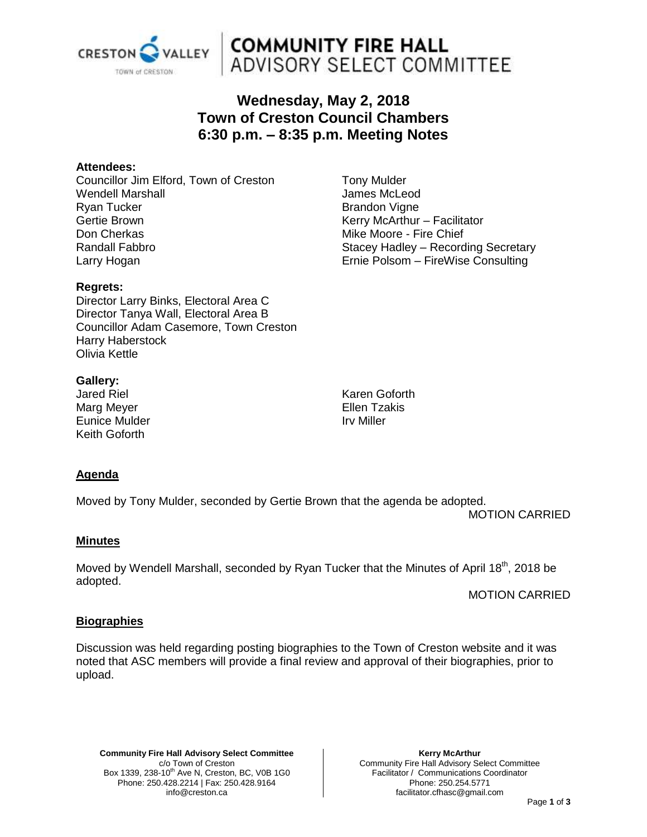

# **COMMUNITY FIRE HALL<br>ADVISORY SELECT COMMITTEE**

## **Wednesday, May 2, 2018 Town of Creston Council Chambers 6:30 p.m. – 8:35 p.m. Meeting Notes**

### **Attendees:**

Councillor Jim Elford, Town of Creston Wendell Marshall Ryan Tucker Gertie Brown Don Cherkas Randall Fabbro Larry Hogan

#### **Regrets:**

Director Larry Binks, Electoral Area C Director Tanya Wall, Electoral Area B Councillor Adam Casemore, Town Creston Harry Haberstock Olivia Kettle

#### **Gallery:**

Jared Riel Marg Meyer Eunice Mulder Keith Goforth

Karen Goforth Ellen Tzakis Irv Miller

## **Agenda**

Moved by Tony Mulder, seconded by Gertie Brown that the agenda be adopted.

MOTION CARRIED

#### **Minutes**

Moved by Wendell Marshall, seconded by Ryan Tucker that the Minutes of April 18<sup>th</sup>, 2018 be adopted.

MOTION CARRIED

#### **Biographies**

Discussion was held regarding posting biographies to the Town of Creston website and it was noted that ASC members will provide a final review and approval of their biographies, prior to upload.

**Community Fire Hall Advisory Select Committee** c/o Town of Creston Box 1339, 238-10<sup>th</sup> Ave N, Creston, BC, V0B 1G0 Phone: 250.428.2214 | Fax: 250.428.9164 info@creston.ca

**Kerry McArthur** Community Fire Hall Advisory Select Committee Facilitator / Communications Coordinator Phone: 250.254.5771 facilitator.cfhasc@gmail.com

#### Page **1** of **3**

Tony Mulder James McLeod Brandon Vigne Kerry McArthur – Facilitator Mike Moore - Fire Chief Stacey Hadley – Recording Secretary Ernie Polsom – FireWise Consulting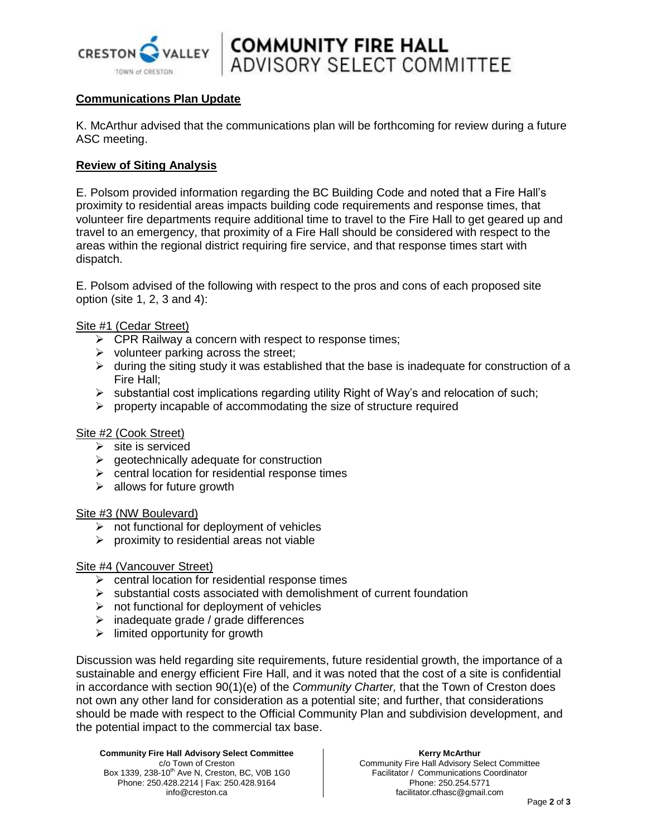

**COMMUNITY FIRE HALL<br>ADVISORY SELECT COMMITTEE** 

### **Communications Plan Update**

K. McArthur advised that the communications plan will be forthcoming for review during a future ASC meeting.

#### **Review of Siting Analysis**

E. Polsom provided information regarding the BC Building Code and noted that a Fire Hall's proximity to residential areas impacts building code requirements and response times, that volunteer fire departments require additional time to travel to the Fire Hall to get geared up and travel to an emergency, that proximity of a Fire Hall should be considered with respect to the areas within the regional district requiring fire service, and that response times start with dispatch.

E. Polsom advised of the following with respect to the pros and cons of each proposed site option (site 1, 2, 3 and 4):

Site #1 (Cedar Street)

- $\triangleright$  CPR Railway a concern with respect to response times;
- $\triangleright$  volunteer parking across the street;
- $\triangleright$  during the siting study it was established that the base is inadequate for construction of a Fire Hall;
- $\triangleright$  substantial cost implications regarding utility Right of Way's and relocation of such;
- $\triangleright$  property incapable of accommodating the size of structure required

#### Site #2 (Cook Street)

- $\triangleright$  site is serviced
- $\triangleright$  geotechnically adequate for construction
- $\triangleright$  central location for residential response times
- $\triangleright$  allows for future growth

#### Site #3 (NW Boulevard)

- $\triangleright$  not functional for deployment of vehicles
- $\triangleright$  proximity to residential areas not viable

#### Site #4 (Vancouver Street)

- $\triangleright$  central location for residential response times
- $\triangleright$  substantial costs associated with demolishment of current foundation
- $\triangleright$  not functional for deployment of vehicles
- $\triangleright$  inadequate grade / grade differences
- $\triangleright$  limited opportunity for growth

Discussion was held regarding site requirements, future residential growth, the importance of a sustainable and energy efficient Fire Hall, and it was noted that the cost of a site is confidential in accordance with section 90(1)(e) of the *Community Charter,* that the Town of Creston does not own any other land for consideration as a potential site; and further, that considerations should be made with respect to the Official Community Plan and subdivision development, and the potential impact to the commercial tax base.

**Community Fire Hall Advisory Select Committee** c/o Town of Creston Box 1339, 238-10<sup>th</sup> Ave N, Creston, BC, V0B 1G0 Phone: 250.428.2214 | Fax: 250.428.9164 info@creston.ca

#### **Kerry McArthur**

Community Fire Hall Advisory Select Committee Facilitator / Communications Coordinator Phone: 250.254.5771 facilitator.cfhasc@gmail.com